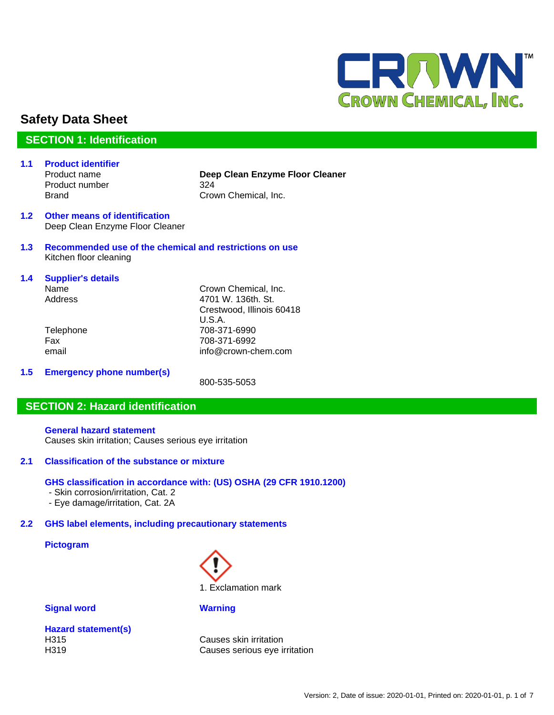

# **Safety Data Sheet**

# **SECTION 1: Identification**

**1.1 Product identifier** Product number 324

Product name **Deep Clean Enzyme Floor Cleaner** Brand Crown Chemical, Inc.

- **1.2 Other means of identification** Deep Clean Enzyme Floor Cleaner
- **1.3 Recommended use of the chemical and restrictions on use** Kitchen floor cleaning
- **1.4 Supplier's details** Name Crown Chemical, Inc. Address 4701 W. 136th. St. Crestwood, Illinois 60418 U.S.A. Telephone 708-371-6990 Fax 708-371-6992 email info@crown-chem.com
- **1.5 Emergency phone number(s)**

800-535-5053

# **SECTION 2: Hazard identification**

**General hazard statement** Causes skin irritation; Causes serious eye irritation

# **2.1 Classification of the substance or mixture**

### **GHS classification in accordance with: (US) OSHA (29 CFR 1910.1200)**

- Skin corrosion/irritation, Cat. 2
- Eye damage/irritation, Cat. 2A

# **2.2 GHS label elements, including precautionary statements**

### **Pictogram**



### **Signal word Warning**

|      | <b>Hazard statement(s)</b> |  |
|------|----------------------------|--|
| H315 |                            |  |
| H319 |                            |  |

Causes skin irritation Causes serious eye irritation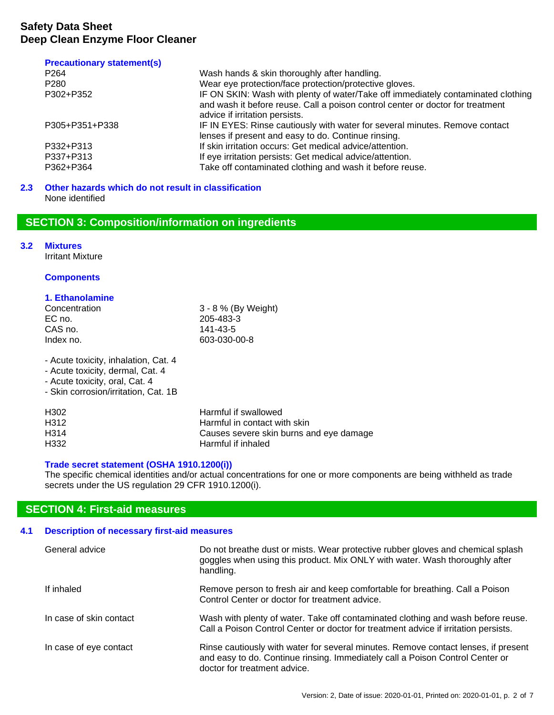### **Precautionary statement(s)**

| P <sub>264</sub> | Wash hands & skin thoroughly after handling.                                                                                                                                                         |
|------------------|------------------------------------------------------------------------------------------------------------------------------------------------------------------------------------------------------|
| P <sub>280</sub> | Wear eye protection/face protection/protective gloves.                                                                                                                                               |
| P302+P352        | IF ON SKIN: Wash with plenty of water/Take off immediately contaminated clothing<br>and wash it before reuse. Call a poison control center or doctor for treatment<br>advice if irritation persists. |
| P305+P351+P338   | IF IN EYES: Rinse cautiously with water for several minutes. Remove contact                                                                                                                          |
|                  | lenses if present and easy to do. Continue rinsing.                                                                                                                                                  |
| P332+P313        | If skin irritation occurs: Get medical advice/attention.                                                                                                                                             |
| P337+P313        | If eye irritation persists: Get medical advice/attention.                                                                                                                                            |
| P362+P364        | Take off contaminated clothing and wash it before reuse.                                                                                                                                             |

### **2.3 Other hazards which do not result in classification** None identified

# **SECTION 3: Composition/information on ingredients**

### **3.2 Mixtures**

Irritant Mixture

### **Components**

# **1. Ethanolamine**

| Concentration | 3 - 8 % (By Weight) |
|---------------|---------------------|
| EC no.        | 205-483-3           |
| CAS no.       | 141-43-5            |
| Index no.     | 603-030-00-8        |
|               |                     |

- Acute toxicity, inhalation, Cat. 4

- Acute toxicity, dermal, Cat. 4

- Acute toxicity, oral, Cat. 4

- Skin corrosion/irritation, Cat. 1B

| H302 | Harmful if swallowed                    |
|------|-----------------------------------------|
| H312 | Harmful in contact with skin            |
| H314 | Causes severe skin burns and eye damage |
| H332 | Harmful if inhaled                      |

### **Trade secret statement (OSHA 1910.1200(i))**

The specific chemical identities and/or actual concentrations for one or more components are being withheld as trade secrets under the US regulation 29 CFR 1910.1200(i).

# **SECTION 4: First-aid measures**

# **4.1 Description of necessary first-aid measures**

| General advice          | Do not breathe dust or mists. Wear protective rubber gloves and chemical splash<br>goggles when using this product. Mix ONLY with water. Wash thoroughly after<br>handling.                         |
|-------------------------|-----------------------------------------------------------------------------------------------------------------------------------------------------------------------------------------------------|
| If inhaled              | Remove person to fresh air and keep comfortable for breathing. Call a Poison<br>Control Center or doctor for treatment advice.                                                                      |
| In case of skin contact | Wash with plenty of water. Take off contaminated clothing and wash before reuse.<br>Call a Poison Control Center or doctor for treatment advice if irritation persists.                             |
| In case of eye contact  | Rinse cautiously with water for several minutes. Remove contact lenses, if present<br>and easy to do. Continue rinsing. Immediately call a Poison Control Center or<br>doctor for treatment advice. |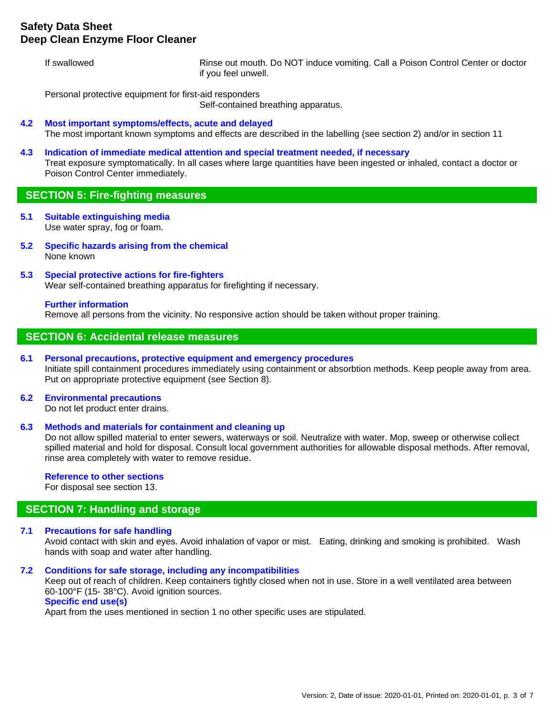# **Safety Data Sheet Deep Clean Enzyme Floor Cleaner**

If swallowed Rinse out mouth. Do NOT induce vomiting. Call a Poison Control Center or doctor if you feel unwell.

Personal protective equipment for first-aid responders

Self-contained breathing apparatus.

### **4.2 Most important symptoms/effects, acute and delayed**

The most important known symptoms and effects are described in the labelling (see section 2) and/or in section 11

**4.3 Indication of immediate medical attention and special treatment needed, if necessary** Treat exposure symptomatically. In all cases where large quantities have been ingested or inhaled, contact a doctor or Poison Control Center immediately.

### **SECTION 5: Fire-fighting measures**

- **5.1 Suitable extinguishing media** Use water spray, fog or foam.
- **5.2 Specific hazards arising from the chemical** None known
- **5.3 Special protective actions for fire-fighters** Wear self-contained breathing apparatus for firefighting if necessary.

### **Further information**

Remove all persons from the vicinity. No responsive action should be taken without proper training.

### **SECTION 6: Accidental release measures**

#### **6.1 Personal precautions, protective equipment and emergency procedures**

Initiate spill containment procedures immediately using containment or absorbtion methods. Keep people away from area. Put on appropriate protective equipment (see Section 8).

### **6.2 Environmental precautions**

Do not let product enter drains.

### **6.3 Methods and materials for containment and cleaning up**

Do not allow spilled material to enter sewers, waterways or soil. Neutralize with water. Mop, sweep or otherwise collect spilled material and hold for disposal. Consult local government authorities for allowable disposal methods. After removal, rinse area completely with water to remove residue.

### **Reference to other sections**

For disposal see section 13.

# **SECTION 7: Handling and storage**

### **7.1 Precautions for safe handling**

Avoid contact with skin and eyes. Avoid inhalation of vapor or mist. Eating, drinking and smoking is prohibited. Wash hands with soap and water after handling.

### **7.2 Conditions for safe storage, including any incompatibilities**

Keep out of reach of children. Keep containers tightly closed when not in use. Store in a well ventilated area between 60-100°F (15- 38°C). Avoid ignition sources. **Specific end use(s)**

Apart from the uses mentioned in section 1 no other specific uses are stipulated.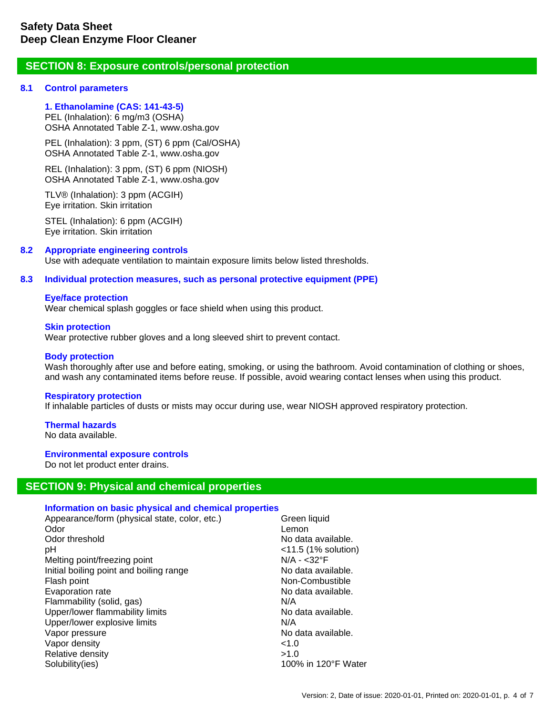# **SECTION 8: Exposure controls/personal protection**

### **8.1 Control parameters**

**1. Ethanolamine (CAS: 141-43-5)**  PEL (Inhalation): 6 mg/m3 (OSHA) OSHA Annotated Table Z-1, www.osha.gov

PEL (Inhalation): 3 ppm, (ST) 6 ppm (Cal/OSHA) OSHA Annotated Table Z-1, www.osha.gov

REL (Inhalation): 3 ppm, (ST) 6 ppm (NIOSH) OSHA Annotated Table Z-1, www.osha.gov

TLV® (Inhalation): 3 ppm (ACGIH) Eye irritation. Skin irritation

STEL (Inhalation): 6 ppm (ACGIH) Eye irritation. Skin irritation

### **8.2 Appropriate engineering controls**

Use with adequate ventilation to maintain exposure limits below listed thresholds.

### **8.3 Individual protection measures, such as personal protective equipment (PPE)**

### **Eye/face protection**

Wear chemical splash goggles or face shield when using this product.

### **Skin protection**

Wear protective rubber gloves and a long sleeved shirt to prevent contact.

### **Body protection**

Wash thoroughly after use and before eating, smoking, or using the bathroom. Avoid contamination of clothing or shoes, and wash any contaminated items before reuse. If possible, avoid wearing contact lenses when using this product.

### **Respiratory protection**

If inhalable particles of dusts or mists may occur during use, wear NIOSH approved respiratory protection.

### **Thermal hazards**

No data available.

### **Environmental exposure controls**

Do not let product enter drains.

# **SECTION 9: Physical and chemical properties**

### **Information on basic physical and chemical properties**

| Appearance/form (physical state, color, etc.) | Green liquid           |
|-----------------------------------------------|------------------------|
| Odor                                          | Lemon                  |
| Odor threshold                                | No data available.     |
| рH                                            | $<$ 11.5 (1% solution) |
| Melting point/freezing point                  | $N/A - 32°F$           |
| Initial boiling point and boiling range       | No data available.     |
| Flash point                                   | Non-Combustible        |
| Evaporation rate                              | No data available.     |
| Flammability (solid, gas)                     | N/A                    |
| Upper/lower flammability limits               | No data available.     |
| Upper/lower explosive limits                  | N/A                    |
| Vapor pressure                                | No data available.     |
| Vapor density                                 | < 1.0                  |
| Relative density                              | >1.0                   |
| Solubility(ies)                               | 100% in 120°F Water    |
|                                               |                        |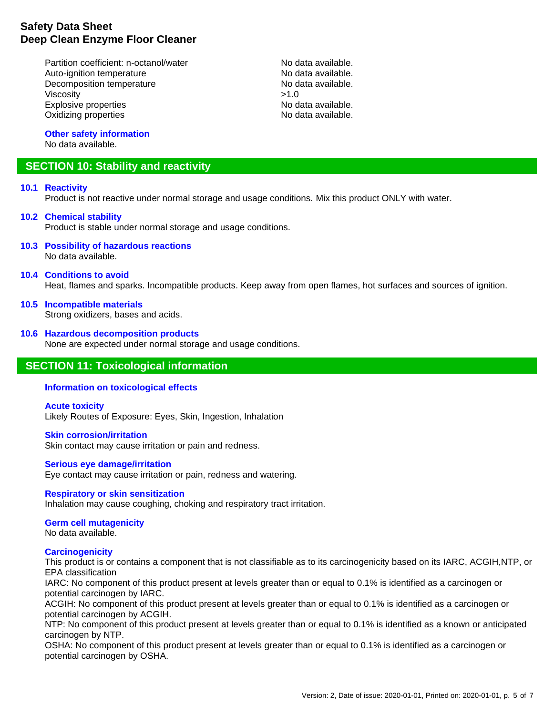# **Safety Data Sheet Deep Clean Enzyme Floor Cleaner**

Partition coefficient: n-octanol/water No data available. Auto-ignition temperature <br>
Decomposition temperature No data available.<br>
No data available. Decomposition temperature Viscosity  $>1.0$ Explosive properties and the second second terms of the No data available.<br>Consider the No data available. Oxidizing properties

#### **Other safety information** No data available.

# **SECTION 10: Stability and reactivity**

### **10.1 Reactivity**

Product is not reactive under normal storage and usage conditions. Mix this product ONLY with water.

# **10.2 Chemical stability**

Product is stable under normal storage and usage conditions.

**10.3 Possibility of hazardous reactions** No data available.

### **10.4 Conditions to avoid**

Heat, flames and sparks. Incompatible products. Keep away from open flames, hot surfaces and sources of ignition.

**10.5 Incompatible materials** Strong oxidizers, bases and acids.

### **10.6 Hazardous decomposition products**

None are expected under normal storage and usage conditions.

# **SECTION 11: Toxicological information**

# **Information on toxicological effects**

**Acute toxicity** Likely Routes of Exposure: Eyes, Skin, Ingestion, Inhalation

### **Skin corrosion/irritation**

Skin contact may cause irritation or pain and redness.

### **Serious eye damage/irritation**

Eye contact may cause irritation or pain, redness and watering.

### **Respiratory or skin sensitization**

Inhalation may cause coughing, choking and respiratory tract irritation.

# **Germ cell mutagenicity**

No data available.

### **Carcinogenicity**

This product is or contains a component that is not classifiable as to its carcinogenicity based on its IARC, ACGIH,NTP, or EPA classification

IARC: No component of this product present at levels greater than or equal to 0.1% is identified as a carcinogen or potential carcinogen by IARC.

ACGIH: No component of this product present at levels greater than or equal to 0.1% is identified as a carcinogen or potential carcinogen by ACGIH.

NTP: No component of this product present at levels greater than or equal to 0.1% is identified as a known or anticipated carcinogen by NTP.

OSHA: No component of this product present at levels greater than or equal to 0.1% is identified as a carcinogen or potential carcinogen by OSHA.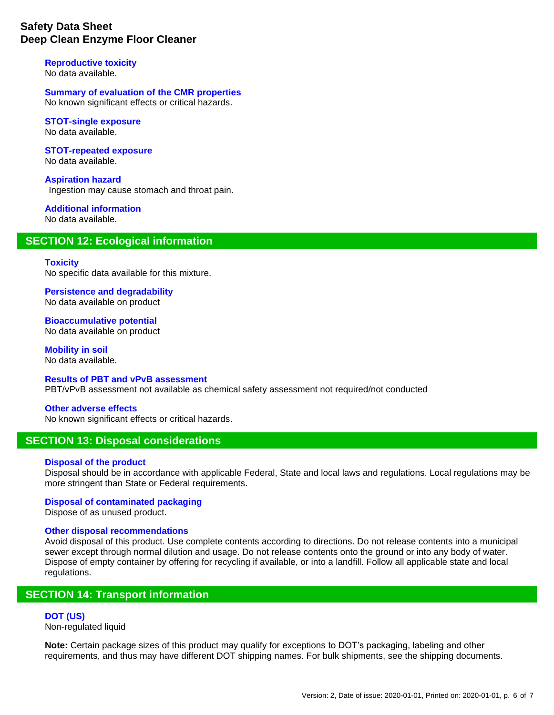# **Safety Data Sheet Deep Clean Enzyme Floor Cleaner**

# **Reproductive toxicity**

No data available.

**Summary of evaluation of the CMR properties** No known significant effects or critical hazards.

#### **STOT-single exposure** No data available.

**STOT-repeated exposure** No data available.

**Aspiration hazard** Ingestion may cause stomach and throat pain.

#### **Additional information** No data available.

# **SECTION 12: Ecological information**

### **Toxicity**

No specific data available for this mixture.

**Persistence and degradability** No data available on product

**Bioaccumulative potential** No data available on product

**Mobility in soil** No data available.

**Results of PBT and vPvB assessment** PBT/vPvB assessment not available as chemical safety assessment not required/not conducted

### **Other adverse effects**

No known significant effects or critical hazards.

# **SECTION 13: Disposal considerations**

### **Disposal of the product**

Disposal should be in accordance with applicable Federal, State and local laws and regulations. Local regulations may be more stringent than State or Federal requirements.

### **Disposal of contaminated packaging**

Dispose of as unused product.

### **Other disposal recommendations**

Avoid disposal of this product. Use complete contents according to directions. Do not release contents into a municipal sewer except through normal dilution and usage. Do not release contents onto the ground or into any body of water. Dispose of empty container by offering for recycling if available, or into a landfill. Follow all applicable state and local regulations.

# **SECTION 14: Transport information**

**DOT (US)** Non-regulated liquid

**Note:** Certain package sizes of this product may qualify for exceptions to DOT's packaging, labeling and other requirements, and thus may have different DOT shipping names. For bulk shipments, see the shipping documents.